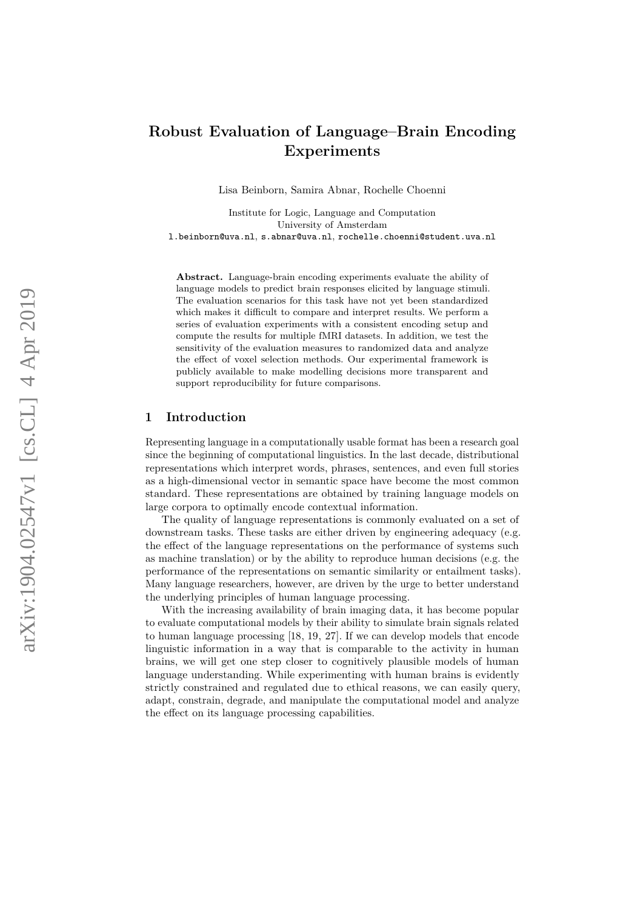# **Robust Evaluation of Language–Brain Encoding Experiments**

Lisa Beinborn, Samira Abnar, Rochelle Choenni

Institute for Logic, Language and Computation University of Amsterdam l.beinborn@uva.nl , s.abnar@uva.nl , rochelle.choenni@student.uva.nl

**Abstract.** Language-brain encoding experiments evaluate the ability of language models to predict brain responses elicited by language stimuli. The evaluation scenarios for this task have not yet been standardized which makes it difficult to compare and interpret results. We perform a series of evaluation experiments with a consistent encoding setup and compute the results for multiple fMRI datasets. In addition, we test the sensitivity of the evaluation measures to randomized data and analyze the effect of voxel selection methods. Our experimental framework is publicly available to make modelling decisions more transparent and support reproducibility for future comparisons.

#### **1 Introduction**

Representing language in a computationally usable format has been a research goal since the beginning of computational linguistics. In the last decade, distributional representations which interpret words, phrases, sentences, and even full stories as a high-dimensional vector in semantic space have become the most common standard. These representations are obtained by training language models on large corpora to optimally encode contextual information.

The quality of language representations is commonly evaluated on a set of downstream tasks. These tasks are either driven by engineering adequacy (e.g. the effect of the language representations on the performance of systems such as machine translation) or by the ability to reproduce human decisions (e.g. the performance of the representations on semantic similarity or entailment tasks). Many language researchers, however, are driven by the urge to better understand the underlying principles of human language processing.

With the increasing availability of brain imaging data, it has become popular to evaluate computational models by their ability to simulate brain signals related to human language processing [\[18](#page-16-0) , [19](#page-16-1) , [27\]](#page-16-2). If we can develop models that encode linguistic information in a way that is comparable to the activity in human brains, we will get one step closer to cognitively plausible models of human language understanding. While experimenting with human brains is evidently strictly constrained and regulated due to ethical reasons, we can easily query, adapt, constrain, degrade, and manipulate the computational model and analyze the effect on its language processing capabilities.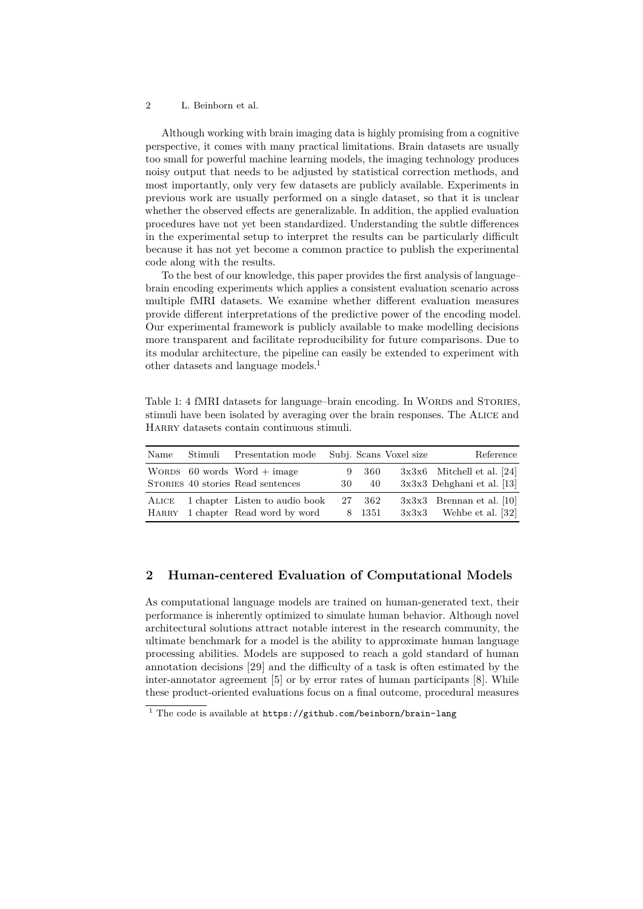Although working with brain imaging data is highly promising from a cognitive perspective, it comes with many practical limitations. Brain datasets are usually too small for powerful machine learning models, the imaging technology produces noisy output that needs to be adjusted by statistical correction methods, and most importantly, only very few datasets are publicly available. Experiments in previous work are usually performed on a single dataset, so that it is unclear whether the observed effects are generalizable. In addition, the applied evaluation procedures have not yet been standardized. Understanding the subtle differences in the experimental setup to interpret the results can be particularly difficult because it has not yet become a common practice to publish the experimental code along with the results.

To the best of our knowledge, this paper provides the first analysis of language– brain encoding experiments which applies a consistent evaluation scenario across multiple fMRI datasets. We examine whether different evaluation measures provide different interpretations of the predictive power of the encoding model. Our experimental framework is publicly available to make modelling decisions more transparent and facilitate reproducibility for future comparisons. Due to its modular architecture, the pipeline can easily be extended to experiment with other datasets and language models.<sup>[1](#page-1-0)</sup>

Table 1: 4 fMRI datasets for language–brain encoding. In WORDS and STORIES, stimuli have been isolated by averaging over the brain responses. The Alice and Harry datasets contain continuous stimuli.

<span id="page-1-1"></span>

| Name           | Stimuli | Presentation mode                                                  |          |               | Subj. Scans Voxel size | Reference                                                    |
|----------------|---------|--------------------------------------------------------------------|----------|---------------|------------------------|--------------------------------------------------------------|
|                |         | WORDS $60$ words Word + image<br>STORIES 40 stories Read sentences | 9<br>30- | 360<br>40     |                        | $3x3x6$ Mitchell et al. [24]<br>$3x3x3$ Dehghani et al. [13] |
| ALICE<br>HARRY |         | 1 chapter Listen to audio book<br>1 chapter Read word by word      | 27       | 362<br>8 1351 |                        | $3x3x3$ Brennan et al. [10]<br>$3x3x3$ Wehbe et al. [32]     |

# **2 Human-centered Evaluation of Computational Models**

As computational language models are trained on human-generated text, their performance is inherently optimized to simulate human behavior. Although novel architectural solutions attract notable interest in the research community, the ultimate benchmark for a model is the ability to approximate human language processing abilities. Models are supposed to reach a gold standard of human annotation decisions [\[29\]](#page-16-4) and the difficulty of a task is often estimated by the inter-annotator agreement [\[5\]](#page-15-2) or by error rates of human participants [\[8\]](#page-15-3). While these product-oriented evaluations focus on a final outcome, procedural measures

<span id="page-1-0"></span> $1$  The code is available at <https://github.com/beinborn/brain-lang>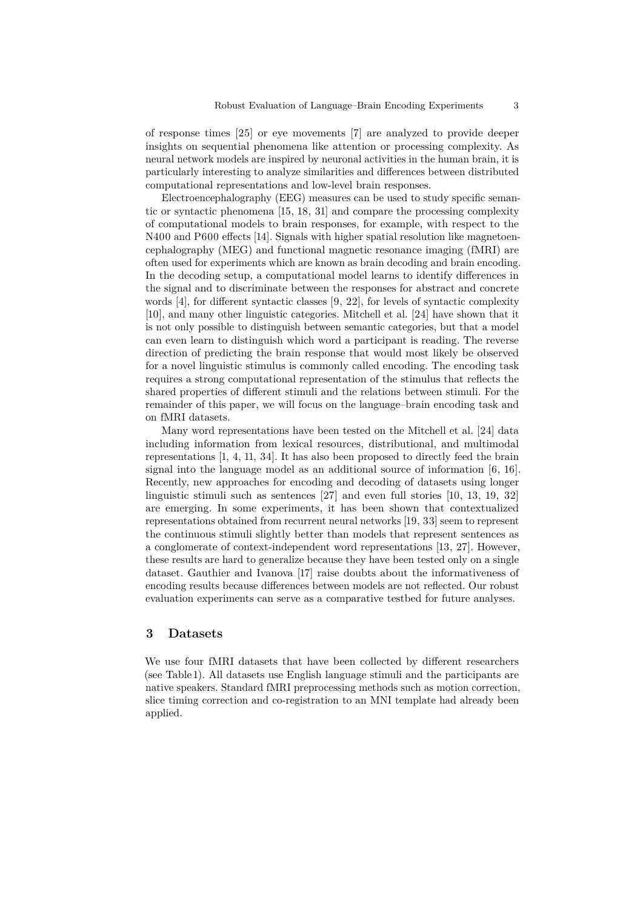of response times [\[25\]](#page-16-5) or eye movements [\[7\]](#page-15-4) are analyzed to provide deeper insights on sequential phenomena like attention or processing complexity. As neural network models are inspired by neuronal activities in the human brain, it is particularly interesting to analyze similarities and differences between distributed computational representations and low-level brain responses.

Electroencephalography (EEG) measures can be used to study specific semantic or syntactic phenomena [\[15,](#page-15-5) [18,](#page-16-0) [31\]](#page-16-6) and compare the processing complexity of computational models to brain responses, for example, with respect to the N400 and P600 effects [\[14\]](#page-15-6). Signals with higher spatial resolution like magnetoencephalography (MEG) and functional magnetic resonance imaging (fMRI) are often used for experiments which are known as brain decoding and brain encoding. In the decoding setup, a computational model learns to identify differences in the signal and to discriminate between the responses for abstract and concrete words [\[4\]](#page-15-7), for different syntactic classes [\[9,](#page-15-8) [22\]](#page-16-7), for levels of syntactic complexity [\[10\]](#page-15-1), and many other linguistic categories. Mitchell et al. [\[24\]](#page-16-3) have shown that it is not only possible to distinguish between semantic categories, but that a model can even learn to distinguish which word a participant is reading. The reverse direction of predicting the brain response that would most likely be observed for a novel linguistic stimulus is commonly called encoding. The encoding task requires a strong computational representation of the stimulus that reflects the shared properties of different stimuli and the relations between stimuli. For the remainder of this paper, we will focus on the language–brain encoding task and on fMRI datasets.

Many word representations have been tested on the Mitchell et al. [\[24\]](#page-16-3) data including information from lexical resources, distributional, and multimodal representations [\[1,](#page-14-0) [4,](#page-15-7) [11,](#page-15-9) [34\]](#page-17-1). It has also been proposed to directly feed the brain signal into the language model as an additional source of information [\[6,](#page-15-10) [16\]](#page-15-11). Recently, new approaches for encoding and decoding of datasets using longer linguistic stimuli such as sentences [\[27\]](#page-16-2) and even full stories [\[10,](#page-15-1) [13,](#page-15-0) [19,](#page-16-1) [32\]](#page-17-0) are emerging. In some experiments, it has been shown that contextualized representations obtained from recurrent neural networks [\[19,](#page-16-1) [33\]](#page-17-2) seem to represent the continuous stimuli slightly better than models that represent sentences as a conglomerate of context-independent word representations [\[13,](#page-15-0) [27\]](#page-16-2). However, these results are hard to generalize because they have been tested only on a single dataset. Gauthier and Ivanova [\[17\]](#page-15-12) raise doubts about the informativeness of encoding results because differences between models are not reflected. Our robust evaluation experiments can serve as a comparative testbed for future analyses.

#### **3 Datasets**

We use four fMRI datasets that have been collected by different researchers (see Table [1\)](#page-1-1). All datasets use English language stimuli and the participants are native speakers. Standard fMRI preprocessing methods such as motion correction, slice timing correction and co-registration to an MNI template had already been applied.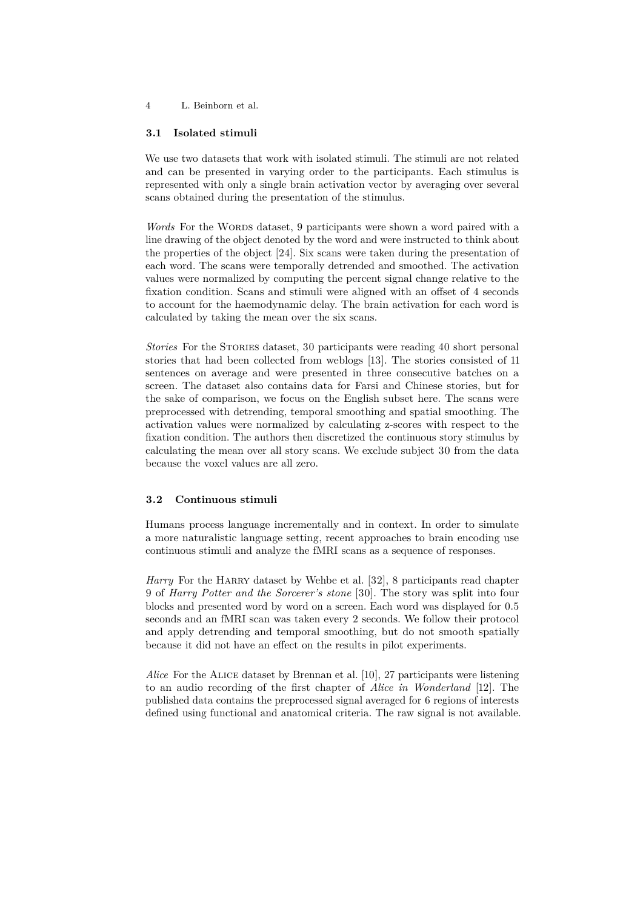#### **3.1 Isolated stimuli**

We use two datasets that work with isolated stimuli. The stimuli are not related and can be presented in varying order to the participants. Each stimulus is represented with only a single brain activation vector by averaging over several scans obtained during the presentation of the stimulus.

*Words* For the WORDS dataset, 9 participants were shown a word paired with a line drawing of the object denoted by the word and were instructed to think about the properties of the object [\[24\]](#page-16-3). Six scans were taken during the presentation of each word. The scans were temporally detrended and smoothed. The activation values were normalized by computing the percent signal change relative to the fixation condition. Scans and stimuli were aligned with an offset of 4 seconds to account for the haemodynamic delay. The brain activation for each word is calculated by taking the mean over the six scans.

*Stories* For the Stories dataset, 30 participants were reading 40 short personal stories that had been collected from weblogs [\[13\]](#page-15-0). The stories consisted of 11 sentences on average and were presented in three consecutive batches on a screen. The dataset also contains data for Farsi and Chinese stories, but for the sake of comparison, we focus on the English subset here. The scans were preprocessed with detrending, temporal smoothing and spatial smoothing. The activation values were normalized by calculating z-scores with respect to the fixation condition. The authors then discretized the continuous story stimulus by calculating the mean over all story scans. We exclude subject 30 from the data because the voxel values are all zero.

#### **3.2 Continuous stimuli**

Humans process language incrementally and in context. In order to simulate a more naturalistic language setting, recent approaches to brain encoding use continuous stimuli and analyze the fMRI scans as a sequence of responses.

*Harry* For the HARRY dataset by Wehbe et al. [\[32\]](#page-17-0), 8 participants read chapter 9 of *Harry Potter and the Sorcerer's stone* [\[30\]](#page-16-8). The story was split into four blocks and presented word by word on a screen. Each word was displayed for 0.5 seconds and an fMRI scan was taken every 2 seconds. We follow their protocol and apply detrending and temporal smoothing, but do not smooth spatially because it did not have an effect on the results in pilot experiments.

*Alice* For the Alice dataset by Brennan et al. [\[10\]](#page-15-1), 27 participants were listening to an audio recording of the first chapter of *Alice in Wonderland* [\[12\]](#page-15-13). The published data contains the preprocessed signal averaged for 6 regions of interests defined using functional and anatomical criteria. The raw signal is not available.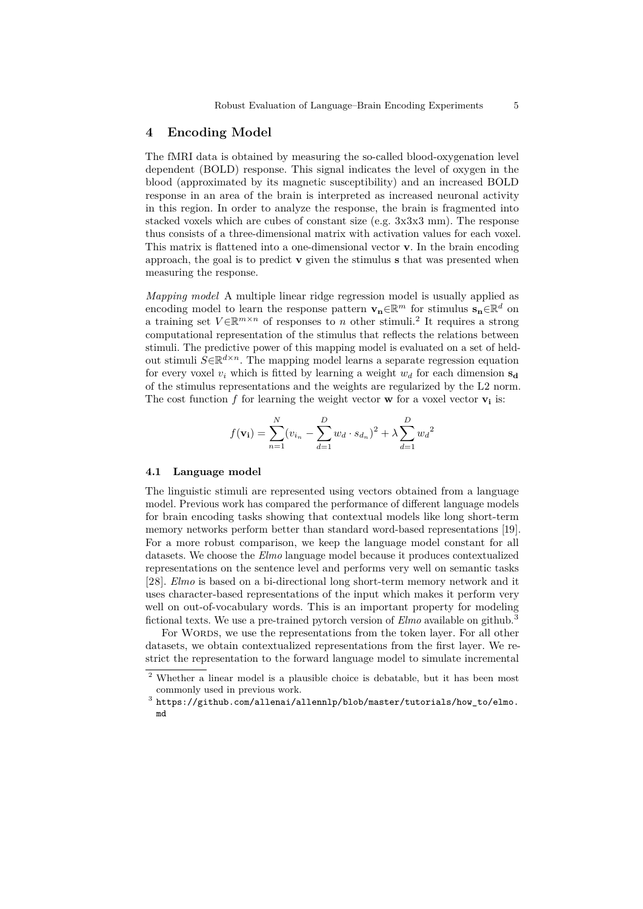#### **4 Encoding Model**

The fMRI data is obtained by measuring the so-called blood-oxygenation level dependent (BOLD) response. This signal indicates the level of oxygen in the blood (approximated by its magnetic susceptibility) and an increased BOLD response in an area of the brain is interpreted as increased neuronal activity in this region. In order to analyze the response, the brain is fragmented into stacked voxels which are cubes of constant size (e.g. 3x3x3 mm). The response thus consists of a three-dimensional matrix with activation values for each voxel. This matrix is flattened into a one-dimensional vector **v**. In the brain encoding approach, the goal is to predict **v** given the stimulus **s** that was presented when measuring the response.

*Mapping model* A multiple linear ridge regression model is usually applied as encoding model to learn the response pattern  $\mathbf{v}_n \in \mathbb{R}^m$  for stimulus  $\mathbf{s}_n \in \mathbb{R}^d$  on a training set  $V \in \mathbb{R}^{m \times n}$  of responses to *n* other stimuli.<sup>[2](#page-4-0)</sup> It requires a strong computational representation of the stimulus that reflects the relations between stimuli. The predictive power of this mapping model is evaluated on a set of heldout stimuli *S*∈R *<sup>d</sup>*×*<sup>n</sup>*. The mapping model learns a separate regression equation for every voxel  $v_i$  which is fitted by learning a weight  $w_d$  for each dimension  $s_d$ of the stimulus representations and the weights are regularized by the L2 norm. The cost function  $f$  for learning the weight vector **w** for a voxel vector **v**<sub>**i**</del> is:</sub>

$$
f(\mathbf{v_i}) = \sum_{n=1}^{N} (v_{i_n} - \sum_{d=1}^{D} w_d \cdot s_{d_n})^2 + \lambda \sum_{d=1}^{D} w_d^2
$$

#### **4.1 Language model**

The linguistic stimuli are represented using vectors obtained from a language model. Previous work has compared the performance of different language models for brain encoding tasks showing that contextual models like long short-term memory networks perform better than standard word-based representations [\[19\]](#page-16-1). For a more robust comparison, we keep the language model constant for all datasets. We choose the *Elmo* language model because it produces contextualized representations on the sentence level and performs very well on semantic tasks [\[28\]](#page-16-9). *Elmo* is based on a bi-directional long short-term memory network and it uses character-based representations of the input which makes it perform very well on out-of-vocabulary words. This is an important property for modeling fictional texts. We use a pre-trained pytorch version of *Elmo* available on github.[3](#page-4-1)

For WORDS, we use the representations from the token layer. For all other datasets, we obtain contextualized representations from the first layer. We restrict the representation to the forward language model to simulate incremental

<span id="page-4-0"></span><sup>2</sup> Whether a linear model is a plausible choice is debatable, but it has been most commonly used in previous work.

<span id="page-4-1"></span> $^3$  [https://github.com/allenai/allennlp/blob/master/tutorials/how\\_to/elmo.](https://github.com/allenai/allennlp/blob/master/tutorials/how_to/elmo.md) [md](https://github.com/allenai/allennlp/blob/master/tutorials/how_to/elmo.md)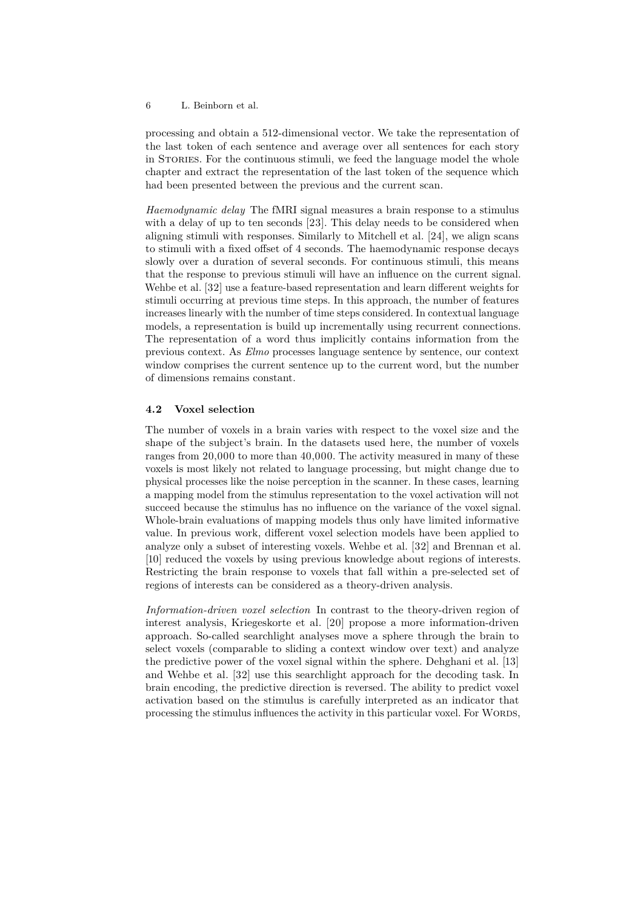processing and obtain a 512-dimensional vector. We take the representation of the last token of each sentence and average over all sentences for each story in Stories. For the continuous stimuli, we feed the language model the whole chapter and extract the representation of the last token of the sequence which had been presented between the previous and the current scan.

*Haemodynamic delay* The fMRI signal measures a brain response to a stimulus with a delay of up to ten seconds [\[23\]](#page-16-10). This delay needs to be considered when aligning stimuli with responses. Similarly to Mitchell et al. [\[24\]](#page-16-3), we align scans to stimuli with a fixed offset of 4 seconds. The haemodynamic response decays slowly over a duration of several seconds. For continuous stimuli, this means that the response to previous stimuli will have an influence on the current signal. Wehbe et al. [\[32\]](#page-17-0) use a feature-based representation and learn different weights for stimuli occurring at previous time steps. In this approach, the number of features increases linearly with the number of time steps considered. In contextual language models, a representation is build up incrementally using recurrent connections. The representation of a word thus implicitly contains information from the previous context. As *Elmo* processes language sentence by sentence, our context window comprises the current sentence up to the current word, but the number of dimensions remains constant.

# **4.2 Voxel selection**

The number of voxels in a brain varies with respect to the voxel size and the shape of the subject's brain. In the datasets used here, the number of voxels ranges from 20,000 to more than 40,000. The activity measured in many of these voxels is most likely not related to language processing, but might change due to physical processes like the noise perception in the scanner. In these cases, learning a mapping model from the stimulus representation to the voxel activation will not succeed because the stimulus has no influence on the variance of the voxel signal. Whole-brain evaluations of mapping models thus only have limited informative value. In previous work, different voxel selection models have been applied to analyze only a subset of interesting voxels. Wehbe et al. [\[32\]](#page-17-0) and Brennan et al. [\[10\]](#page-15-1) reduced the voxels by using previous knowledge about regions of interests. Restricting the brain response to voxels that fall within a pre-selected set of regions of interests can be considered as a theory-driven analysis.

*Information-driven voxel selection* In contrast to the theory-driven region of interest analysis, Kriegeskorte et al. [\[20\]](#page-16-11) propose a more information-driven approach. So-called searchlight analyses move a sphere through the brain to select voxels (comparable to sliding a context window over text) and analyze the predictive power of the voxel signal within the sphere. Dehghani et al. [\[13\]](#page-15-0) and Wehbe et al. [\[32\]](#page-17-0) use this searchlight approach for the decoding task. In brain encoding, the predictive direction is reversed. The ability to predict voxel activation based on the stimulus is carefully interpreted as an indicator that processing the stimulus influences the activity in this particular voxel. For WORDS,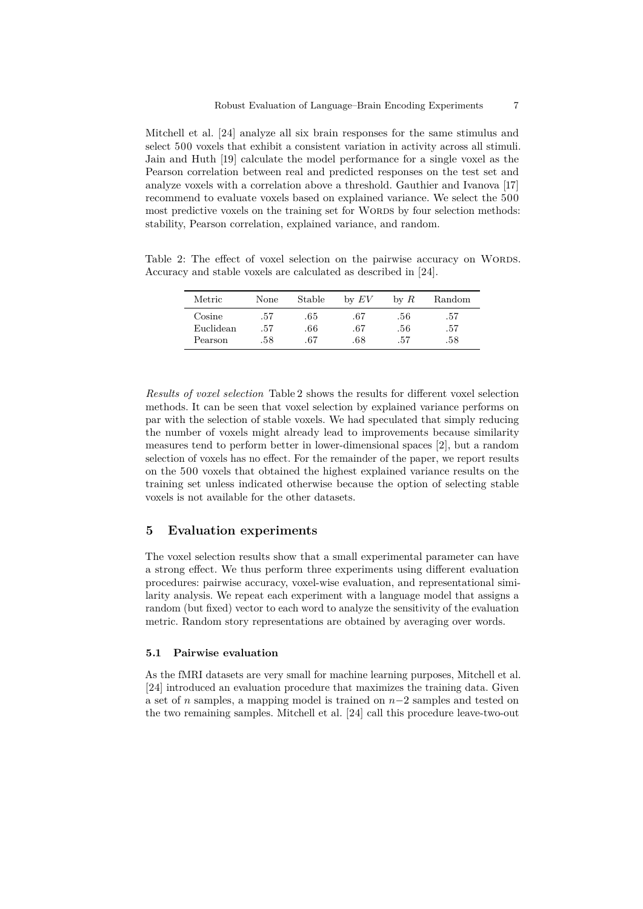Mitchell et al. [\[24\]](#page-16-3) analyze all six brain responses for the same stimulus and select 500 voxels that exhibit a consistent variation in activity across all stimuli. Jain and Huth [\[19\]](#page-16-1) calculate the model performance for a single voxel as the Pearson correlation between real and predicted responses on the test set and analyze voxels with a correlation above a threshold. Gauthier and Ivanova [\[17\]](#page-15-12) recommend to evaluate voxels based on explained variance. We select the 500 most predictive voxels on the training set for WORDS by four selection methods: stability, Pearson correlation, explained variance, and random.

<span id="page-6-0"></span>Table 2: The effect of voxel selection on the pairwise accuracy on WORDS. Accuracy and stable voxels are calculated as described in [\[24\]](#page-16-3).

| Metric                  | None | Stable | $\operatorname{bv}\,EV$ | $\forall$ by $R$ | Random |
|-------------------------|------|--------|-------------------------|------------------|--------|
| $\operatorname{Cosine}$ | .57  | .65    | .67                     | .56              | .57    |
| Euclidean               | .57  | .66    | .67                     | .56              | .57    |
| Pearson                 | .58  | .67    | $.68\,$                 | .57              | .58    |

*Results of voxel selection* Table [2](#page-6-0) shows the results for different voxel selection methods. It can be seen that voxel selection by explained variance performs on par with the selection of stable voxels. We had speculated that simply reducing the number of voxels might already lead to improvements because similarity measures tend to perform better in lower-dimensional spaces [\[2\]](#page-14-1), but a random selection of voxels has no effect. For the remainder of the paper, we report results on the 500 voxels that obtained the highest explained variance results on the training set unless indicated otherwise because the option of selecting stable voxels is not available for the other datasets.

#### **5 Evaluation experiments**

The voxel selection results show that a small experimental parameter can have a strong effect. We thus perform three experiments using different evaluation procedures: pairwise accuracy, voxel-wise evaluation, and representational similarity analysis. We repeat each experiment with a language model that assigns a random (but fixed) vector to each word to analyze the sensitivity of the evaluation metric. Random story representations are obtained by averaging over words.

#### **5.1 Pairwise evaluation**

As the fMRI datasets are very small for machine learning purposes, Mitchell et al. [\[24\]](#page-16-3) introduced an evaluation procedure that maximizes the training data. Given a set of *n* samples, a mapping model is trained on *n*−2 samples and tested on the two remaining samples. Mitchell et al. [\[24\]](#page-16-3) call this procedure leave-two-out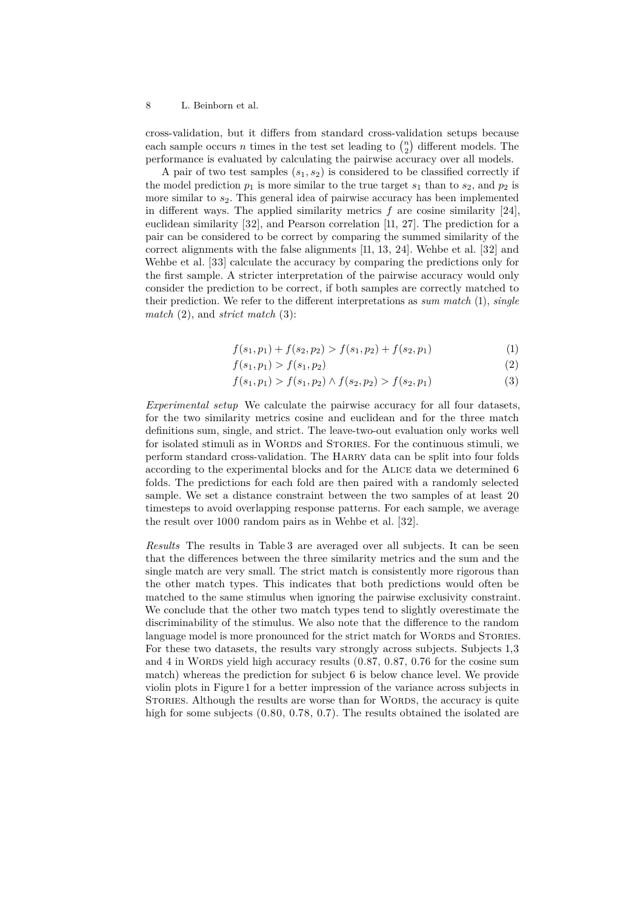cross-validation, but it differs from standard cross-validation setups because each sample occurs *n* times in the test set leading to  $\binom{n}{2}$  different models. The performance is evaluated by calculating the pairwise accuracy over all models.

A pair of two test samples  $(s_1, s_2)$  is considered to be classified correctly if the model prediction  $p_1$  is more similar to the true target  $s_1$  than to  $s_2$ , and  $p_2$  is more similar to  $s_2$ . This general idea of pairwise accuracy has been implemented in different ways. The applied similarity metrics *f* are cosine similarity [\[24\]](#page-16-3), euclidean similarity [\[32\]](#page-17-0), and Pearson correlation [\[11,](#page-15-9) [27\]](#page-16-2). The prediction for a pair can be considered to be correct by comparing the summed similarity of the correct alignments with the false alignments [\[11,](#page-15-9) [13,](#page-15-0) [24\]](#page-16-3). Wehbe et al. [\[32\]](#page-17-0) and Wehbe et al. [\[33\]](#page-17-2) calculate the accuracy by comparing the predictions only for the first sample. A stricter interpretation of the pairwise accuracy would only consider the prediction to be correct, if both samples are correctly matched to their prediction. We refer to the different interpretations as *sum match* (1), *single match* (2), and *strict match* (3):

$$
f(s_1, p_1) + f(s_2, p_2) > f(s_1, p_2) + f(s_2, p_1)
$$
\n<sup>(1)</sup>

$$
f(s_1, p_1) > f(s_1, p_2) \tag{2}
$$

$$
f(s_1, p_1) > f(s_1, p_2) \land f(s_2, p_2) > f(s_2, p_1) \tag{3}
$$

*Experimental setup* We calculate the pairwise accuracy for all four datasets, for the two similarity metrics cosine and euclidean and for the three match definitions sum, single, and strict. The leave-two-out evaluation only works well for isolated stimuli as in WORDS and STORIES. For the continuous stimuli, we perform standard cross-validation. The Harry data can be split into four folds according to the experimental blocks and for the Alice data we determined 6 folds. The predictions for each fold are then paired with a randomly selected sample. We set a distance constraint between the two samples of at least 20 timesteps to avoid overlapping response patterns. For each sample, we average the result over 1000 random pairs as in Wehbe et al. [\[32\]](#page-17-0).

*Results* The results in Table [3](#page-8-0) are averaged over all subjects. It can be seen that the differences between the three similarity metrics and the sum and the single match are very small. The strict match is consistently more rigorous than the other match types. This indicates that both predictions would often be matched to the same stimulus when ignoring the pairwise exclusivity constraint. We conclude that the other two match types tend to slightly overestimate the discriminability of the stimulus. We also note that the difference to the random language model is more pronounced for the strict match for WORDS and STORIES. For these two datasets, the results vary strongly across subjects. Subjects 1,3 and 4 in WORDS yield high accuracy results  $(0.87, 0.87, 0.76)$  for the cosine sum match) whereas the prediction for subject 6 is below chance level. We provide violin plots in Figure [1](#page-8-1) for a better impression of the variance across subjects in STORIES. Although the results are worse than for WORDS, the accuracy is quite high for some subjects  $(0.80, 0.78, 0.7)$ . The results obtained the isolated are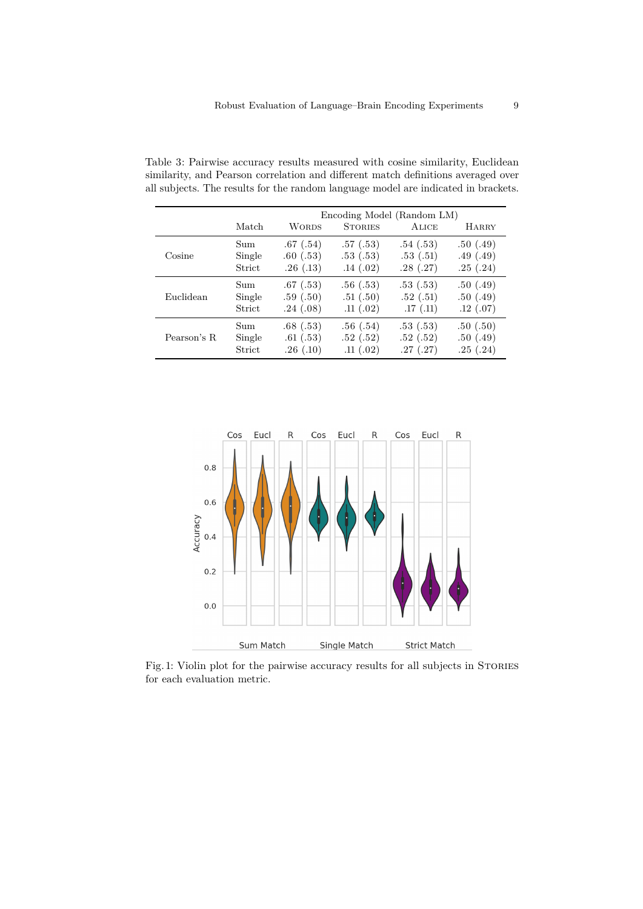<span id="page-8-0"></span>

|             | Encoding Model (Random LM) |              |                |          |              |
|-------------|----------------------------|--------------|----------------|----------|--------------|
|             | Match                      | <b>WORDS</b> | <b>STORIES</b> | ALICE    | <b>HARRY</b> |
| Cosine      | Sum                        | .67(.54)     | .57(0.53)      | .54(.53) | .50(.49)     |
|             | Single                     | .60(.53)     | .53(.53)       | .53(.51) | .49(.49)     |
|             | Strict                     | .26(.13)     | .14(.02)       | .28(.27) | .25(.24)     |
| Euclidean   | Sum                        | .67(0.53)    | .56(.53)       | .53(.53) | .50(.49)     |
|             | Single                     | .59(.50)     | .51(.50)       | .52(.51) | .50(.49)     |
|             | Strict                     | .24(.08)     | .11(.02)       | .17(.11) | .12(.07)     |
| Pearson's R | Sum                        | .68(.53)     | .56(.54)       | .53(.53) | .50(.50)     |
|             | Single                     | .61(.53)     | .52(.52)       | .52(.52) | .50(.49)     |
|             | Strict                     | .26(.10)     | .11(.02)       | .27(.27) | .25(.24)     |

Table 3: Pairwise accuracy results measured with cosine similarity, Euclidean similarity, and Pearson correlation and different match definitions averaged over all subjects. The results for the random language model are indicated in brackets.

<span id="page-8-1"></span>

Fig. 1: Violin plot for the pairwise accuracy results for all subjects in STORIES for each evaluation metric.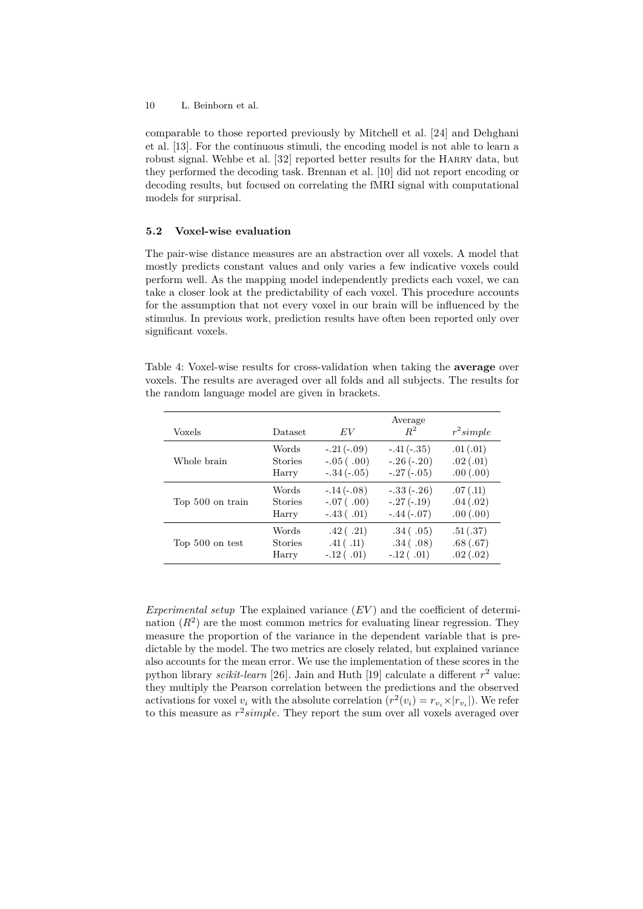comparable to those reported previously by Mitchell et al. [\[24\]](#page-16-3) and Dehghani et al. [\[13\]](#page-15-0). For the continuous stimuli, the encoding model is not able to learn a robust signal. Wehbe et al. [\[32\]](#page-17-0) reported better results for the HARRY data, but they performed the decoding task. Brennan et al. [\[10\]](#page-15-1) did not report encoding or decoding results, but focused on correlating the fMRI signal with computational models for surprisal.

#### **5.2 Voxel-wise evaluation**

The pair-wise distance measures are an abstraction over all voxels. A model that mostly predicts constant values and only varies a few indicative voxels could perform well. As the mapping model independently predicts each voxel, we can take a closer look at the predictability of each voxel. This procedure accounts for the assumption that not every voxel in our brain will be influenced by the stimulus. In previous work, prediction results have often been reported only over significant voxels.

Table 4: Voxel-wise results for cross-validation when taking the **average** over voxels. The results are averaged over all folds and all subjects. The results for the random language model are given in brackets.

<span id="page-9-0"></span>

| Voxels           | Dataset        | EV               | Average<br>$R^2$ | $r^2$ simple |
|------------------|----------------|------------------|------------------|--------------|
| Whole brain      | Words          | $-.21(-.09)$     | $-.41(-.35)$     | .01(.01)     |
|                  | <b>Stories</b> | $-.05(.00)$      | $-.26(-.20)$     | .02(.01)     |
|                  | Harry          | $-.34(-.05)$     | $-.27(-.05)$     | .00(.00)     |
| Top 500 on train | Words          | $-.14(-.08)$     | $-.33(-.26)$     | .07(.11)     |
|                  | <b>Stories</b> | $-.07(.00)$      | $-.27(-.19)$     | .04(.02)     |
|                  | Harry          | $-.43$ ( $.01$ ) | $-.44(-.07)$     | .00(.00)     |
| Top 500 on test  | Words          | .42(.21)         | .34(.05)         | .51(.37)     |
|                  | <b>Stories</b> | .41( .11)        | .34(.08)         | .68(.67)     |
|                  | Harry          | $-.12$ ( $.01$ ) | $-.12$ ( $.01$ ) | .02(.02)     |

*Experimental setup* The explained variance (*EV* ) and the coefficient of determination  $(R^2)$  are the most common metrics for evaluating linear regression. They measure the proportion of the variance in the dependent variable that is predictable by the model. The two metrics are closely related, but explained variance also accounts for the mean error. We use the implementation of these scores in the python library *scikit-learn* [\[26\]](#page-16-12). Jain and Huth [\[19\]](#page-16-1) calculate a different *r* <sup>2</sup> value: they multiply the Pearson correlation between the predictions and the observed activations for voxel  $v_i$  with the absolute correlation  $(r^2(v_i) = r_{v_i} \times |r_{v_i}|)$ . We refer to this measure as *r* 2 *simple*. They report the sum over all voxels averaged over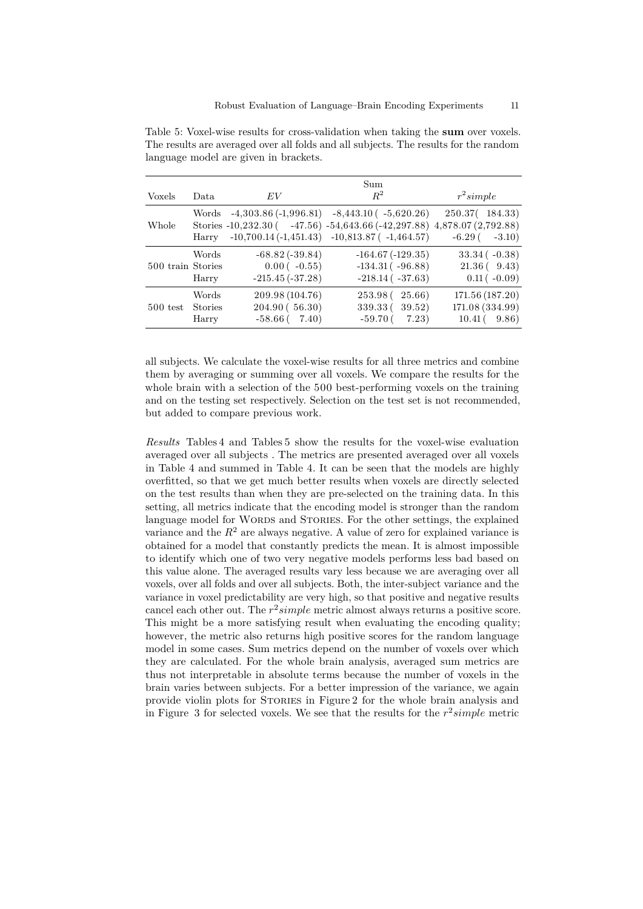<span id="page-10-0"></span>

|                   |       |                   | Sum                                                                    |                      |
|-------------------|-------|-------------------|------------------------------------------------------------------------|----------------------|
| <b>Voxels</b>     | Data. | EV                | $R^2$                                                                  | $r^2$ simple         |
|                   |       |                   | Words $-4,303.86(-1,996.81) -8,443.10(-5,620.26)$                      | 250.37(184.33)       |
| Whole             |       |                   | Stories -10,232.30 (47.56) -54,643.66 (-42,297.88) 4,878.07 (2,792.88) |                      |
|                   | Harry |                   | $-10,700.14(-1,451.43) -10,813.87(-1,464.57)$                          | $-6.29($<br>$-3.10)$ |
|                   | Words | $-68.82(-39.84)$  | $-164.67(-129.35)$                                                     | $33.34(-0.38)$       |
| 500 train Stories |       | $0.00(-0.55)$     | $-134.31(-96.88)$                                                      | $21.36(-9.43)$       |
|                   | Harry | $-215.45(-37.28)$ | $-218.14(-37.63)$                                                      | $0.11(-0.09)$        |
|                   | Words | 209.98 (104.76)   | 253.98 (25.66)                                                         | 171.56 (187.20)      |
| 500 test Stories  |       | 204.90(56.30)     | 339.33 (39.52)                                                         | 171.08 (334.99)      |
|                   | Harry | $-58.66(-7.40)$   | $-59.70(7.23)$                                                         | $10.41(-9.86)$       |

Table 5: Voxel-wise results for cross-validation when taking the **sum** over voxels. The results are averaged over all folds and all subjects. The results for the random language model are given in brackets.

all subjects. We calculate the voxel-wise results for all three metrics and combine them by averaging or summing over all voxels. We compare the results for the whole brain with a selection of the 500 best-performing voxels on the training and on the testing set respectively. Selection on the test set is not recommended, but added to compare previous work.

*Results* Tables [4](#page-9-0) and Tables [5](#page-10-0) show the results for the voxel-wise evaluation averaged over all subjects . The metrics are presented averaged over all voxels in Table [4](#page-9-0) and summed in Table [4.](#page-9-0) It can be seen that the models are highly overfitted, so that we get much better results when voxels are directly selected on the test results than when they are pre-selected on the training data. In this setting, all metrics indicate that the encoding model is stronger than the random language model for WORDS and STORIES. For the other settings, the explained variance and the  $R^2$  are always negative. A value of zero for explained variance is obtained for a model that constantly predicts the mean. It is almost impossible to identify which one of two very negative models performs less bad based on this value alone. The averaged results vary less because we are averaging over all voxels, over all folds and over all subjects. Both, the inter-subject variance and the variance in voxel predictability are very high, so that positive and negative results cancel each other out. The  $r^2 simple$  metric almost always returns a positive score. This might be a more satisfying result when evaluating the encoding quality; however, the metric also returns high positive scores for the random language model in some cases. Sum metrics depend on the number of voxels over which they are calculated. For the whole brain analysis, averaged sum metrics are thus not interpretable in absolute terms because the number of voxels in the brain varies between subjects. For a better impression of the variance, we again provide violin plots for Stories in Figure [2](#page-11-0) for the whole brain analysis and in Figure [3](#page-12-0) for selected voxels. We see that the results for the *r* 2 *simple* metric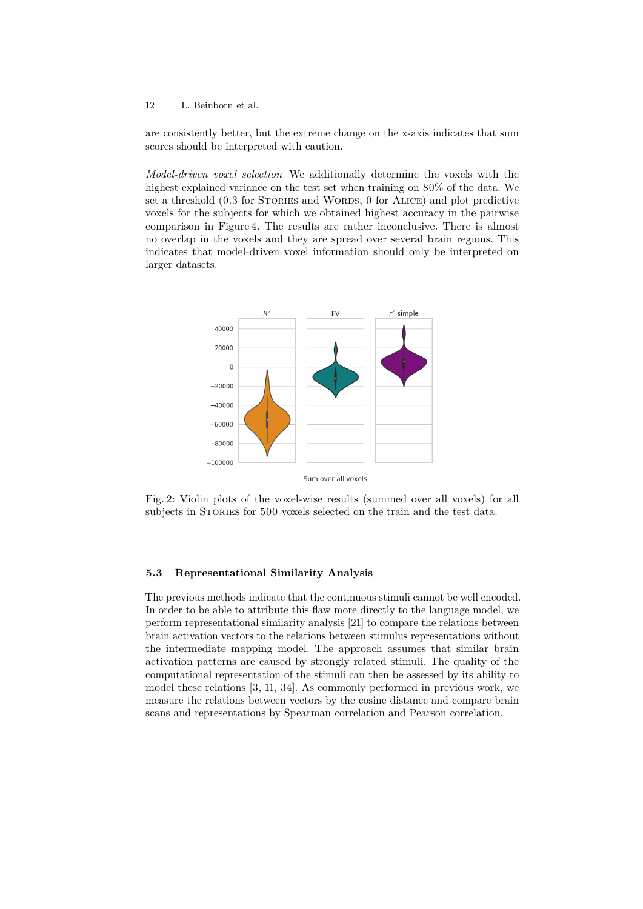are consistently better, but the extreme change on the x-axis indicates that sum scores should be interpreted with caution.

*Model-driven voxel selection* We additionally determine the voxels with the highest explained variance on the test set when training on 80% of the data. We set a threshold (0.3 for STORIES and WORDS, 0 for ALICE) and plot predictive voxels for the subjects for which we obtained highest accuracy in the pairwise comparison in Figure [4.](#page-13-0) The results are rather inconclusive. There is almost no overlap in the voxels and they are spread over several brain regions. This indicates that model-driven voxel information should only be interpreted on larger datasets.

<span id="page-11-0"></span>

Fig. 2: Violin plots of the voxel-wise results (summed over all voxels) for all subjects in STORIES for 500 voxels selected on the train and the test data.

## **5.3 Representational Similarity Analysis**

The previous methods indicate that the continuous stimuli cannot be well encoded. In order to be able to attribute this flaw more directly to the language model, we perform representational similarity analysis [\[21\]](#page-16-13) to compare the relations between brain activation vectors to the relations between stimulus representations without the intermediate mapping model. The approach assumes that similar brain activation patterns are caused by strongly related stimuli. The quality of the computational representation of the stimuli can then be assessed by its ability to model these relations [\[3,](#page-14-2) [11,](#page-15-9) [34\]](#page-17-1). As commonly performed in previous work, we measure the relations between vectors by the cosine distance and compare brain scans and representations by Spearman correlation and Pearson correlation.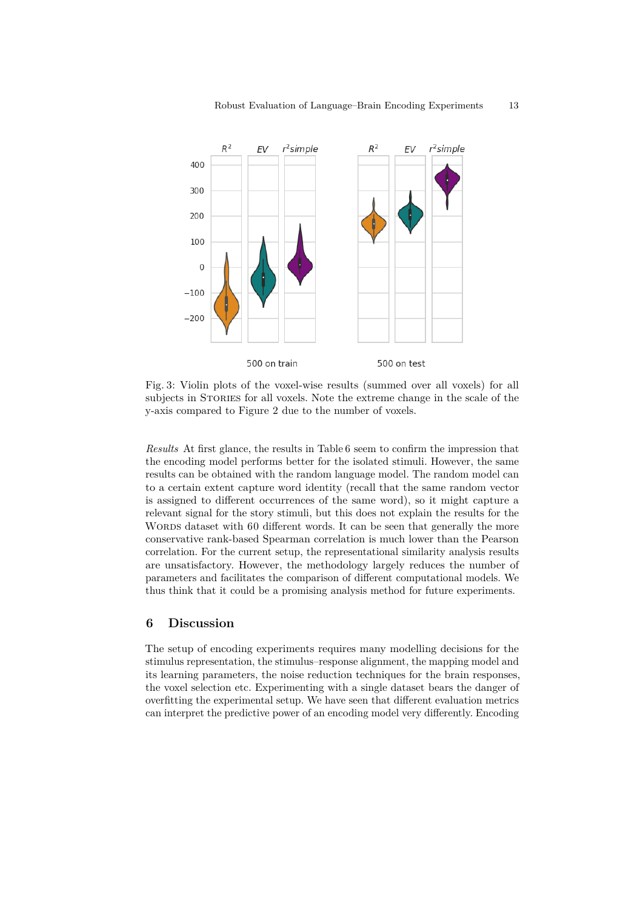<span id="page-12-0"></span>

Fig. 3: Violin plots of the voxel-wise results (summed over all voxels) for all subjects in STORIES for all voxels. Note the extreme change in the scale of the y-axis compared to Figure [2](#page-11-0) due to the number of voxels.

*Results* At first glance, the results in Table [6](#page-13-1) seem to confirm the impression that the encoding model performs better for the isolated stimuli. However, the same results can be obtained with the random language model. The random model can to a certain extent capture word identity (recall that the same random vector is assigned to different occurrences of the same word), so it might capture a relevant signal for the story stimuli, but this does not explain the results for the WORDS dataset with 60 different words. It can be seen that generally the more conservative rank-based Spearman correlation is much lower than the Pearson correlation. For the current setup, the representational similarity analysis results are unsatisfactory. However, the methodology largely reduces the number of parameters and facilitates the comparison of different computational models. We thus think that it could be a promising analysis method for future experiments.

# **6 Discussion**

The setup of encoding experiments requires many modelling decisions for the stimulus representation, the stimulus–response alignment, the mapping model and its learning parameters, the noise reduction techniques for the brain responses, the voxel selection etc. Experimenting with a single dataset bears the danger of overfitting the experimental setup. We have seen that different evaluation metrics can interpret the predictive power of an encoding model very differently. Encoding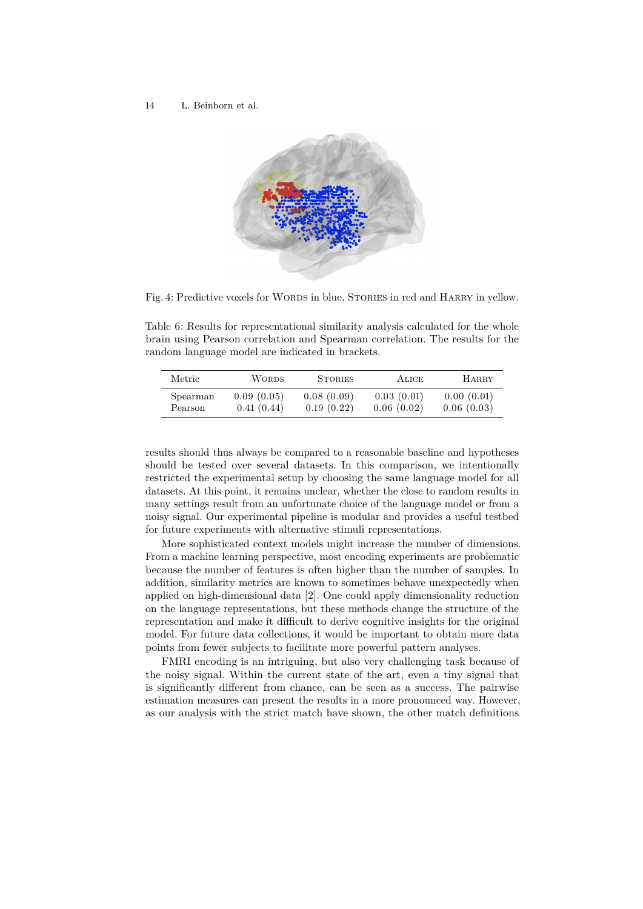<span id="page-13-0"></span>

Fig. 4: Predictive voxels for WORDS in blue, STORIES in red and HARRY in yellow.

Table 6: Results for representational similarity analysis calculated for the whole brain using Pearson correlation and Spearman correlation. The results for the random language model are indicated in brackets.

<span id="page-13-1"></span>

| Metric   | <b>WORDS</b> | <b>STORIES</b> | <b>ALICE</b> | <b>HARRY</b> |
|----------|--------------|----------------|--------------|--------------|
| Spearman | 0.09(0.05)   | 0.08(0.09)     | 0.03(0.01)   | 0.00(0.01)   |
| Pearson  | 0.41(0.44)   | 0.19(0.22)     | 0.06(0.02)   | 0.06(0.03)   |

results should thus always be compared to a reasonable baseline and hypotheses should be tested over several datasets. In this comparison, we intentionally restricted the experimental setup by choosing the same language model for all datasets. At this point, it remains unclear, whether the close to random results in many settings result from an unfortunate choice of the language model or from a noisy signal. Our experimental pipeline is modular and provides a useful testbed for future experiments with alternative stimuli representations.

More sophisticated context models might increase the number of dimensions. From a machine learning perspective, most encoding experiments are problematic because the number of features is often higher than the number of samples. In addition, similarity metrics are known to sometimes behave unexpectedly when applied on high-dimensional data [\[2\]](#page-14-1). One could apply dimensionality reduction on the language representations, but these methods change the structure of the representation and make it difficult to derive cognitive insights for the original model. For future data collections, it would be important to obtain more data points from fewer subjects to facilitate more powerful pattern analyses.

FMRI encoding is an intriguing, but also very challenging task because of the noisy signal. Within the current state of the art, even a tiny signal that is significantly different from chance, can be seen as a success. The pairwise estimation measures can present the results in a more pronounced way. However, as our analysis with the strict match have shown, the other match definitions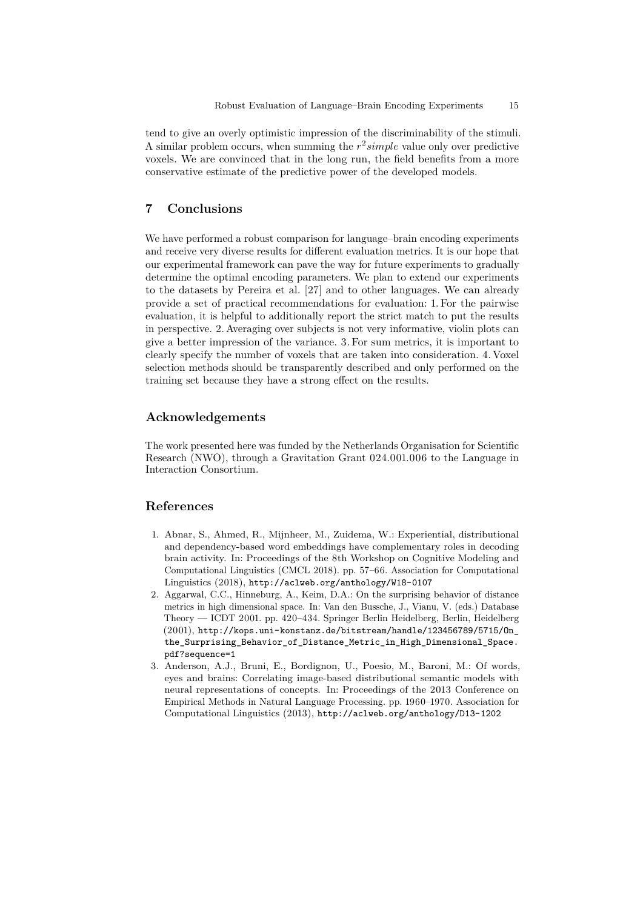tend to give an overly optimistic impression of the discriminability of the stimuli. A similar problem occurs, when summing the *r* 2 *simple* value only over predictive voxels. We are convinced that in the long run, the field benefits from a more conservative estimate of the predictive power of the developed models.

## **7 Conclusions**

We have performed a robust comparison for language–brain encoding experiments and receive very diverse results for different evaluation metrics. It is our hope that our experimental framework can pave the way for future experiments to gradually determine the optimal encoding parameters. We plan to extend our experiments to the datasets by Pereira et al. [\[27\]](#page-16-2) and to other languages. We can already provide a set of practical recommendations for evaluation: 1. For the pairwise evaluation, it is helpful to additionally report the strict match to put the results in perspective. 2. Averaging over subjects is not very informative, violin plots can give a better impression of the variance. 3. For sum metrics, it is important to clearly specify the number of voxels that are taken into consideration. 4. Voxel selection methods should be transparently described and only performed on the training set because they have a strong effect on the results.

# **Acknowledgements**

The work presented here was funded by the Netherlands Organisation for Scientific Research (NWO), through a Gravitation Grant 024.001.006 to the Language in Interaction Consortium.

# **References**

- <span id="page-14-0"></span>1. Abnar, S., Ahmed, R., Mijnheer, M., Zuidema, W.: Experiential, distributional and dependency-based word embeddings have complementary roles in decoding brain activity. In: Proceedings of the 8th Workshop on Cognitive Modeling and Computational Linguistics (CMCL 2018). pp. 57–66. Association for Computational Linguistics (2018), <http://aclweb.org/anthology/W18-0107>
- <span id="page-14-1"></span>2. Aggarwal, C.C., Hinneburg, A., Keim, D.A.: On the surprising behavior of distance metrics in high dimensional space. In: Van den Bussche, J., Vianu, V. (eds.) Database Theory — ICDT 2001. pp. 420–434. Springer Berlin Heidelberg, Berlin, Heidelberg (2001), [http://kops.uni-konstanz.de/bitstream/handle/123456789/5715/On\\_](http://kops.uni-konstanz.de/bitstream/handle/123456789/5715/On_the_Surprising_Behavior_of_Distance_Metric_in_High_Dimensional_Space.pdf?sequence=1) [the\\_Surprising\\_Behavior\\_of\\_Distance\\_Metric\\_in\\_High\\_Dimensional\\_Space.](http://kops.uni-konstanz.de/bitstream/handle/123456789/5715/On_the_Surprising_Behavior_of_Distance_Metric_in_High_Dimensional_Space.pdf?sequence=1) [pdf?sequence=1](http://kops.uni-konstanz.de/bitstream/handle/123456789/5715/On_the_Surprising_Behavior_of_Distance_Metric_in_High_Dimensional_Space.pdf?sequence=1)
- <span id="page-14-2"></span>3. Anderson, A.J., Bruni, E., Bordignon, U., Poesio, M., Baroni, M.: Of words, eyes and brains: Correlating image-based distributional semantic models with neural representations of concepts. In: Proceedings of the 2013 Conference on Empirical Methods in Natural Language Processing. pp. 1960–1970. Association for Computational Linguistics (2013), <http://aclweb.org/anthology/D13-1202>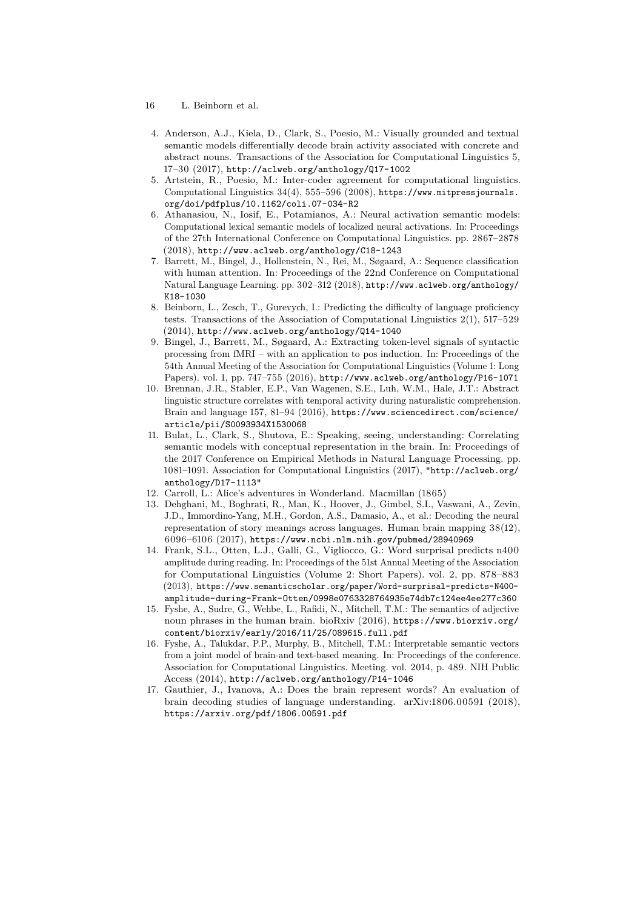- 16 L. Beinborn et al.
- <span id="page-15-7"></span>4. Anderson, A.J., Kiela, D., Clark, S., Poesio, M.: Visually grounded and textual semantic models differentially decode brain activity associated with concrete and abstract nouns. Transactions of the Association for Computational Linguistics 5, 17–30 (2017), <http://aclweb.org/anthology/Q17-1002>
- <span id="page-15-2"></span>5. Artstein, R., Poesio, M.: Inter-coder agreement for computational linguistics. Computational Linguistics 34(4), 555–596 (2008), [https://www.mitpressjournals.](https://www.mitpressjournals.org/doi/pdfplus/10.1162/coli.07-034-R2) [org/doi/pdfplus/10.1162/coli.07-034-R2](https://www.mitpressjournals.org/doi/pdfplus/10.1162/coli.07-034-R2)
- <span id="page-15-10"></span>6. Athanasiou, N., Iosif, E., Potamianos, A.: Neural activation semantic models: Computational lexical semantic models of localized neural activations. In: Proceedings of the 27th International Conference on Computational Linguistics. pp. 2867–2878 (2018), <http://www.aclweb.org/anthology/C18-1243>
- <span id="page-15-4"></span>7. Barrett, M., Bingel, J., Hollenstein, N., Rei, M., Søgaard, A.: Sequence classification with human attention. In: Proceedings of the 22nd Conference on Computational Natural Language Learning. pp. 302–312 (2018), [http://www.aclweb.org/anthology/](http://www.aclweb.org/anthology/K18-1030) [K18-1030](http://www.aclweb.org/anthology/K18-1030)
- <span id="page-15-3"></span>8. Beinborn, L., Zesch, T., Gurevych, I.: Predicting the difficulty of language proficiency tests. Transactions of the Association of Computational Linguistics 2(1), 517–529 (2014), <http://www.aclweb.org/anthology/Q14-1040>
- <span id="page-15-8"></span>9. Bingel, J., Barrett, M., Søgaard, A.: Extracting token-level signals of syntactic processing from fMRI – with an application to pos induction. In: Proceedings of the 54th Annual Meeting of the Association for Computational Linguistics (Volume 1: Long Papers). vol. 1, pp. 747–755 (2016), <http://www.aclweb.org/anthology/P16-1071>
- <span id="page-15-1"></span>10. Brennan, J.R., Stabler, E.P., Van Wagenen, S.E., Luh, W.M., Hale, J.T.: Abstract linguistic structure correlates with temporal activity during naturalistic comprehension. Brain and language 157, 81–94 (2016), [https://www.sciencedirect.com/science/](https://www.sciencedirect.com/science/article/pii/S0093934X1530068) [article/pii/S0093934X1530068](https://www.sciencedirect.com/science/article/pii/S0093934X1530068)
- <span id="page-15-9"></span>11. Bulat, L., Clark, S., Shutova, E.: Speaking, seeing, understanding: Correlating semantic models with conceptual representation in the brain. In: Proceedings of the 2017 Conference on Empirical Methods in Natural Language Processing. pp. 1081–1091. Association for Computational Linguistics (2017), ["http://aclweb.org/]("http://aclweb.org/anthology/D17-1113") [anthology/D17-1113"]("http://aclweb.org/anthology/D17-1113")
- <span id="page-15-13"></span>12. Carroll, L.: Alice's adventures in Wonderland. Macmillan (1865)
- <span id="page-15-0"></span>13. Dehghani, M., Boghrati, R., Man, K., Hoover, J., Gimbel, S.I., Vaswani, A., Zevin, J.D., Immordino-Yang, M.H., Gordon, A.S., Damasio, A., et al.: Decoding the neural representation of story meanings across languages. Human brain mapping 38(12), 6096–6106 (2017), <https://www.ncbi.nlm.nih.gov/pubmed/28940969>
- <span id="page-15-6"></span>14. Frank, S.L., Otten, L.J., Galli, G., Vigliocco, G.: Word surprisal predicts n400 amplitude during reading. In: Proceedings of the 51st Annual Meeting of the Association for Computational Linguistics (Volume 2: Short Papers). vol. 2, pp. 878–883 (2013), [https://www.semanticscholar.org/paper/Word-surprisal-predicts-N400](https://www.semanticscholar.org/paper/Word-surprisal-predicts-N400-amplitude-during-Frank-Otten/0998e0763328764935e74db7c124ee4ee277c360) [amplitude-during-Frank-Otten/0998e0763328764935e74db7c124ee4ee277c360](https://www.semanticscholar.org/paper/Word-surprisal-predicts-N400-amplitude-during-Frank-Otten/0998e0763328764935e74db7c124ee4ee277c360)
- <span id="page-15-5"></span>15. Fyshe, A., Sudre, G., Wehbe, L., Rafidi, N., Mitchell, T.M.: The semantics of adjective noun phrases in the human brain. bioRxiv (2016), [https://www.biorxiv.org/](https://www.biorxiv.org/content/biorxiv/early/2016/11/25/089615.full.pdf) [content/biorxiv/early/2016/11/25/089615.full.pdf](https://www.biorxiv.org/content/biorxiv/early/2016/11/25/089615.full.pdf)
- <span id="page-15-11"></span>16. Fyshe, A., Talukdar, P.P., Murphy, B., Mitchell, T.M.: Interpretable semantic vectors from a joint model of brain-and text-based meaning. In: Proceedings of the conference. Association for Computational Linguistics. Meeting. vol. 2014, p. 489. NIH Public Access (2014), <http://aclweb.org/anthology/P14-1046>
- <span id="page-15-12"></span>17. Gauthier, J., Ivanova, A.: Does the brain represent words? An evaluation of brain decoding studies of language understanding. arXiv:1806.00591 (2018), <https://arxiv.org/pdf/1806.00591.pdf>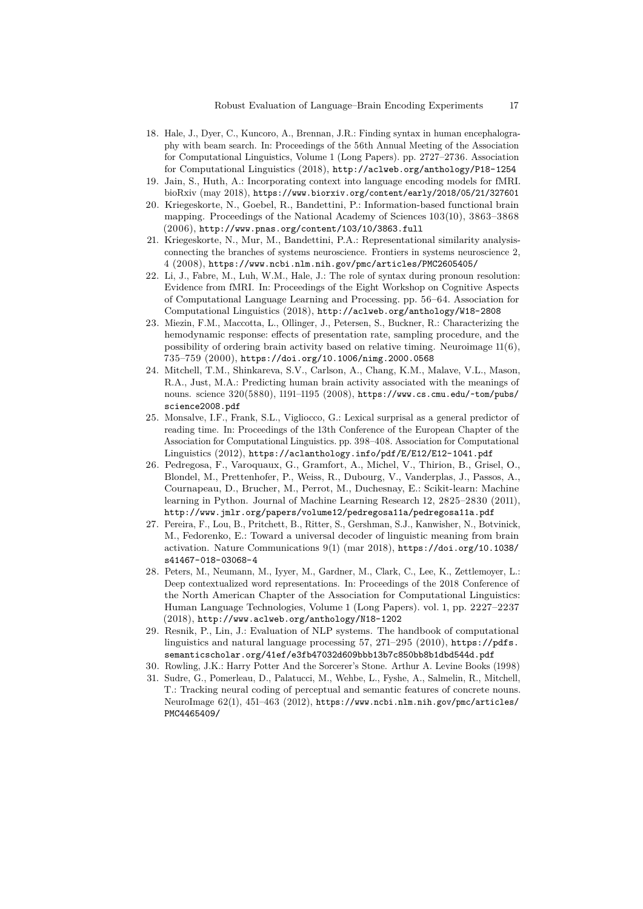- <span id="page-16-0"></span>18. Hale, J., Dyer, C., Kuncoro, A., Brennan, J.R.: Finding syntax in human encephalography with beam search. In: Proceedings of the 56th Annual Meeting of the Association for Computational Linguistics, Volume 1 (Long Papers). pp. 2727–2736. Association for Computational Linguistics (2018), <http://aclweb.org/anthology/P18-1254>
- <span id="page-16-1"></span>19. Jain, S., Huth, A.: Incorporating context into language encoding models for fMRI. bioRxiv (may 2018), <https://www.biorxiv.org/content/early/2018/05/21/327601>
- <span id="page-16-11"></span>20. Kriegeskorte, N., Goebel, R., Bandettini, P.: Information-based functional brain mapping. Proceedings of the National Academy of Sciences 103(10), 3863–3868  $(2006)$ , <http://www.pnas.org/content/103/10/3863.full>
- <span id="page-16-13"></span>21. Kriegeskorte, N., Mur, M., Bandettini, P.A.: Representational similarity analysisconnecting the branches of systems neuroscience. Frontiers in systems neuroscience 2, 4 (2008), <https://www.ncbi.nlm.nih.gov/pmc/articles/PMC2605405/>
- <span id="page-16-7"></span>22. Li, J., Fabre, M., Luh, W.M., Hale, J.: The role of syntax during pronoun resolution: Evidence from fMRI. In: Proceedings of the Eight Workshop on Cognitive Aspects of Computational Language Learning and Processing. pp. 56–64. Association for Computational Linguistics (2018), <http://aclweb.org/anthology/W18-2808>
- <span id="page-16-10"></span>23. Miezin, F.M., Maccotta, L., Ollinger, J., Petersen, S., Buckner, R.: Characterizing the hemodynamic response: effects of presentation rate, sampling procedure, and the possibility of ordering brain activity based on relative timing. Neuroimage 11(6), 735–759 (2000), <https://doi.org/10.1006/nimg.2000.0568>
- <span id="page-16-3"></span>24. Mitchell, T.M., Shinkareva, S.V., Carlson, A., Chang, K.M., Malave, V.L., Mason, R.A., Just, M.A.: Predicting human brain activity associated with the meanings of nouns. science 320(5880), 1191–1195 (2008), [https://www.cs.cmu.edu/~tom/pubs/](https://www.cs.cmu.edu/~tom/pubs/science2008.pdf) [science2008.pdf](https://www.cs.cmu.edu/~tom/pubs/science2008.pdf)
- <span id="page-16-5"></span>25. Monsalve, I.F., Frank, S.L., Vigliocco, G.: Lexical surprisal as a general predictor of reading time. In: Proceedings of the 13th Conference of the European Chapter of the Association for Computational Linguistics. pp. 398–408. Association for Computational Linguistics (2012), <https://aclanthology.info/pdf/E/E12/E12-1041.pdf>
- <span id="page-16-12"></span>26. Pedregosa, F., Varoquaux, G., Gramfort, A., Michel, V., Thirion, B., Grisel, O., Blondel, M., Prettenhofer, P., Weiss, R., Dubourg, V., Vanderplas, J., Passos, A., Cournapeau, D., Brucher, M., Perrot, M., Duchesnay, E.: Scikit-learn: Machine learning in Python. Journal of Machine Learning Research 12, 2825–2830 (2011), <http://www.jmlr.org/papers/volume12/pedregosa11a/pedregosa11a.pdf>
- <span id="page-16-2"></span>27. Pereira, F., Lou, B., Pritchett, B., Ritter, S., Gershman, S.J., Kanwisher, N., Botvinick, M., Fedorenko, E.: Toward a universal decoder of linguistic meaning from brain activation. Nature Communications 9(1) (mar 2018), [https://doi.org/10.1038/](https://doi.org/10.1038/s41467-018-03068-4) [s41467-018-03068-4](https://doi.org/10.1038/s41467-018-03068-4)
- <span id="page-16-9"></span>28. Peters, M., Neumann, M., Iyyer, M., Gardner, M., Clark, C., Lee, K., Zettlemoyer, L.: Deep contextualized word representations. In: Proceedings of the 2018 Conference of the North American Chapter of the Association for Computational Linguistics: Human Language Technologies, Volume 1 (Long Papers). vol. 1, pp. 2227–2237 (2018), <http://www.aclweb.org/anthology/N18-1202>
- <span id="page-16-4"></span>29. Resnik, P., Lin, J.: Evaluation of NLP systems. The handbook of computational linguistics and natural language processing  $57$ ,  $271-295$  (2010), [https://pdfs.](https://pdfs.semanticscholar.org/41ef/e3fb47032d609bbb13b7c850bb8b1dbd544d.pdf) [semanticscholar.org/41ef/e3fb47032d609bbb13b7c850bb8b1dbd544d.pdf](https://pdfs.semanticscholar.org/41ef/e3fb47032d609bbb13b7c850bb8b1dbd544d.pdf)
- <span id="page-16-8"></span>30. Rowling, J.K.: Harry Potter And the Sorcerer's Stone. Arthur A. Levine Books (1998)
- <span id="page-16-6"></span>31. Sudre, G., Pomerleau, D., Palatucci, M., Wehbe, L., Fyshe, A., Salmelin, R., Mitchell, T.: Tracking neural coding of perceptual and semantic features of concrete nouns. NeuroImage 62(1), 451–463 (2012), [https://www.ncbi.nlm.nih.gov/pmc/articles/](https://www.ncbi.nlm.nih.gov/pmc/articles/PMC4465409/) [PMC4465409/](https://www.ncbi.nlm.nih.gov/pmc/articles/PMC4465409/)